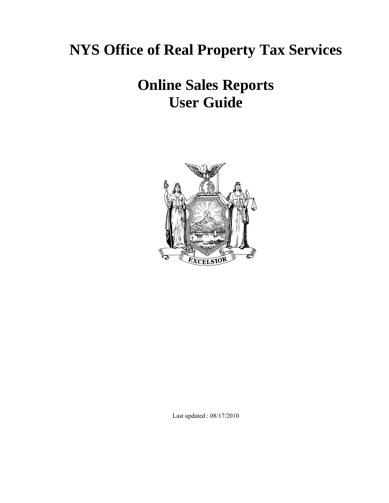# **NYS Office of Real Property Tax Services**

# **Online Sales Reports User Guide**



Last updated : 08/17/2010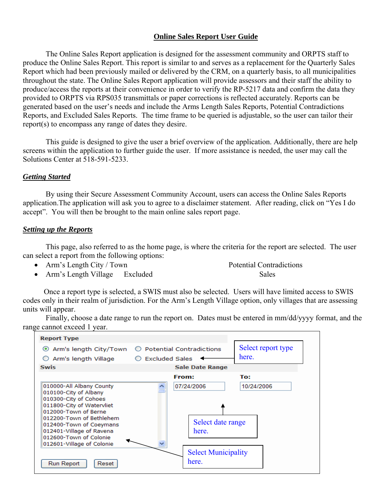# **Online Sales Report User Guide**

The Online Sales Report application is designed for the assessment community and ORPTS staff to produce the Online Sales Report. This report is similar to and serves as a replacement for the Quarterly Sales Report which had been previously mailed or delivered by the CRM, on a quarterly basis, to all municipalities throughout the state. The Online Sales Report application will provide assessors and their staff the ability to produce/access the reports at their convenience in order to verify the RP-5217 data and confirm the data they provided to ORPTS via RPS035 transmittals or paper corrections is reflected accurately. Reports can be generated based on the user's needs and include the Arms Length Sales Reports, Potential Contradictions Reports, and Excluded Sales Reports. The time frame to be queried is adjustable, so the user can tailor their report(s) to encompass any range of dates they desire.

This guide is designed to give the user a brief overview of the application. Additionally, there are help screens within the application to further guide the user. If more assistance is needed, the user may call the Solutions Center at 518-591-5233.

### *Getting Started*

By using their Secure Assessment Community Account, users can access the Online Sales Reports application.The application will ask you to agree to a disclaimer statement. After reading, click on "Yes I do accept". You will then be brought to the main online sales report page.

### *Setting up the Reports*

This page, also referred to as the home page, is where the criteria for the report are selected. The user can select a report from the following options:

• Arm's Length City / Town Potential Contradictions

• Arm's Length Village Excluded Sales

 Once a report type is selected, a SWIS must also be selected. Users will have limited access to SWIS codes only in their realm of jurisdiction. For the Arm's Length Village option, only villages that are assessing units will appear.

Finally, choose a date range to run the report on. Dates must be entered in mm/dd/yyyy format, and the range cannot exceed 1 year.

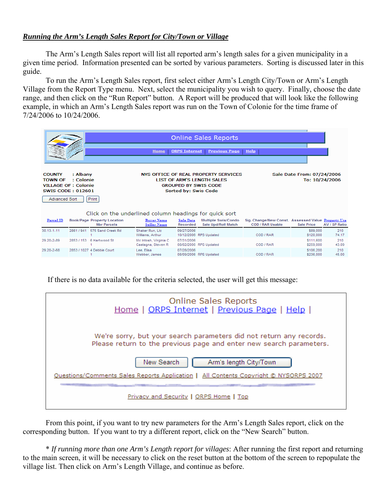# *Running the Arm's Length Sales Report for City/Town or Village*

The Arm's Length Sales report will list all reported arm's length sales for a given municipality in a given time period. Information presented can be sorted by various parameters. Sorting is discussed later in this guide.

To run the Arm's Length Sales report, first select either Arm's Length City/Town or Arm's Length Village from the Report Type menu. Next, select the municipality you wish to query. Finally, choose the date range, and then click on the "Run Report" button. A Report will be produced that will look like the following example, in which an Arm's Length Sales report was run on the Town of Colonie for the time frame of 7/24/2006 to 10/24/2006.

|                                                  |                                                                                          | <b>Home</b>                                 | <b>Online Sales Reports</b><br><b>ORPS Internet</b><br><b>Previous Page</b>                                                                                                                | <b>Help</b>                                                            |                        |               |
|--------------------------------------------------|------------------------------------------------------------------------------------------|---------------------------------------------|--------------------------------------------------------------------------------------------------------------------------------------------------------------------------------------------|------------------------------------------------------------------------|------------------------|---------------|
| <b>COUNTY</b><br><b>TOWN OF</b><br>Advanced Sort | : Albany<br>: Colonie<br><b>VILLAGE OF: Colonie</b><br><b>SWIS CODE: 012601</b><br>Print |                                             | NYS OFFICE OF REAL PROPERTY SERVICES<br><b>LIST OF ARM'S LENGTH SALES</b><br><b>GROUPED BY SWIS CODE</b><br>Sorted by: Swis Code<br>Click on the underlined column headings for quick sort | Sale Date From: 07/24/2006<br>To: 10/24/2006                           |                        |               |
| Parcel ID                                        | <b>Book/Page Property Location</b><br><b>Nbr Parcels</b>                                 | <b>Buyer Name</b><br><b>Seller Name</b>     | Multiple Swis/Condo<br><b>Sale Date</b><br>Recorded<br>Sale Upd/Roll Match                                                                                                                 | Sig. Change/New Const. Assessed Value Property Use<br>COD / RAR Usable | <b>Sale Price</b>      | AV / SP Ratio |
| 30.13-1-11                                       | 2861 / 941<br>575 Sand Creek Rd                                                          | Shaker Run, Llc<br>Williams, Arthur         | 09/27/2006<br>10/12/2006 RPS Updated                                                                                                                                                       | COD / RAR                                                              | \$89,000<br>\$120,000  | 210<br>74.17  |
| 29.20-2-89                                       | 2853 / 153 6 Hartwood St                                                                 | Mc Intosh, Virginia C<br>Castagna, Steven R | 07/31/2006<br>08/02/2006 RPS Updated                                                                                                                                                       | COD / RAR                                                              | \$111,600<br>\$259,000 | 210<br>43.09  |
| 29.20-2-68                                       | 2853 / 1027 4 Debbie Court                                                               | Lee, Elisa<br>Webber, James                 | 07/28/2006<br>08/09/2006 RPS Updated                                                                                                                                                       | COD / RAR                                                              | \$106,200<br>\$236,000 | 210<br>45.00  |

If there is no data available for the criteria selected, the user will get this message:

| <b>Online Sales Reports</b><br>Home   ORPS Internet   Previous Page   Help                                                                 |
|--------------------------------------------------------------------------------------------------------------------------------------------|
| We're sorry, but your search parameters did not return any records.<br>Please return to the previous page and enter new search parameters. |
| New Search<br>Arm's length City/Town                                                                                                       |
| Ouestions/Comments Sales Reports Application   All Contents Copyright © NYSORPS 2007                                                       |
|                                                                                                                                            |
| <b>Privacy and Security   ORPS Home   Top</b>                                                                                              |

From this point, if you want to try new parameters for the Arm's Length Sales report, click on the corresponding button. If you want to try a different report, click on the "New Search" button.

\* *If running more than one Arm's Length report for villages*: After running the first report and returning to the main screen, it will be necessary to click on the reset button at the bottom of the screen to repopulate the village list. Then click on Arm's Length Village, and continue as before.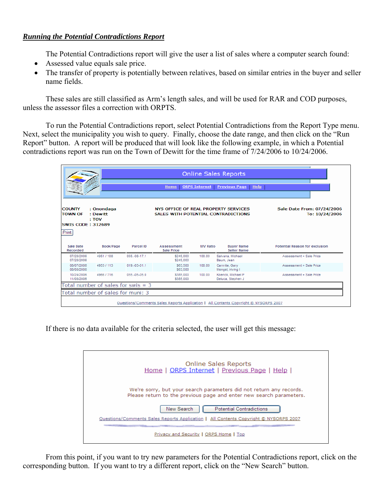# *Running the Potential Contradictions Report*

The Potential Contradictions report will give the user a list of sales where a computer search found:

- Assessed value equals sale price.
- The transfer of property is potentially between relatives, based on similar entries in the buyer and seller name fields.

These sales are still classified as Arm's length sales, and will be used for RAR and COD purposes, unless the assessor files a correction with ORPTS.

To run the Potential Contradictions report, select Potential Contradictions from the Report Type menu. Next, select the municipality you wish to query. Finally, choose the date range, and then click on the "Run Report" button. A report will be produced that will look like the following example, in which a Potential contradictions report was run on the Town of Dewitt for the time frame of 7/24/2006 to 10/24/2006.

|                                                                      |                                      |                | <b>Home</b>                                                                 | <b>ORPS Internet</b> | <b>Online Sales Reports</b><br><b>Previous Page</b><br><b>Help</b>                   |                                              |
|----------------------------------------------------------------------|--------------------------------------|----------------|-----------------------------------------------------------------------------|----------------------|--------------------------------------------------------------------------------------|----------------------------------------------|
| <b>COUNTY</b><br><b>TOWN OF</b><br><b>SWIS CODE: 312689</b><br>Print | : Onondaga<br>: Dewitt<br>: TOV      |                | NYS OFFICE OF REAL PROPERTY SERVICES<br>SALES WITH POTENTIAL CONTRADICTIONS |                      |                                                                                      | Sale Date From: 07/24/2006<br>To: 10/24/2006 |
| Sale Date<br>Recorded                                                | Book/Page                            | Parcel ID      | <b>Assessment</b><br><b>Sale Price</b>                                      | <b>MV Ratio</b>      | <b>Buyer Name</b><br><b>Seller Name</b>                                              | <b>Potential Reason for exclusion</b>        |
| 07/28/2006<br>07/28/2006                                             | 4951 / 108                           | 055.-08-17.1   | \$245,000<br>\$245,000                                                      | 100.00               | Salvana, Michael<br>Baum, Jean                                                       | Assessment = Sale Price                      |
| 08/07/2006<br>08/08/2006                                             | 4953 / 113                           | $019.-03-01.1$ | \$63,500<br>\$63,500                                                        | 100.00               | Carnrite, Garv<br>Mengel, Iriving I                                                  | Assessment = Sale Price                      |
| 10/24/2006<br>11/08/2006                                             | 4966 / 716                           | 055.-05-05.0   | \$385,000<br>\$385,000                                                      | 100.00               | Koenck, Michael P<br>Deluca, Stephen J                                               | Assessment = Sale Price                      |
|                                                                      | Total number of sales for swis $=$ 3 |                |                                                                             |                      |                                                                                      |                                              |
|                                                                      | Total number of sales for muni: 3    |                |                                                                             |                      |                                                                                      |                                              |
|                                                                      |                                      |                |                                                                             |                      | Questions/Comments Sales Reports Application   All Contents Copyright © NYSORPS 2007 |                                              |

If there is no data available for the criteria selected, the user will get this message:

| Online Sales Reports<br>Home   ORPS Internet   Previous Page   Help                                                                        |
|--------------------------------------------------------------------------------------------------------------------------------------------|
| We're sorry, but your search parameters did not return any records.<br>Please return to the previous page and enter new search parameters. |
| New Search<br><b>Potential Contradictions</b>                                                                                              |
| Ouestions/Comments Sales Reports Application   All Contents Copyright © NYSORPS 2007                                                       |
|                                                                                                                                            |
| Privacy and Security   ORPS Home   Top                                                                                                     |

From this point, if you want to try new parameters for the Potential Contradictions report, click on the corresponding button. If you want to try a different report, click on the "New Search" button.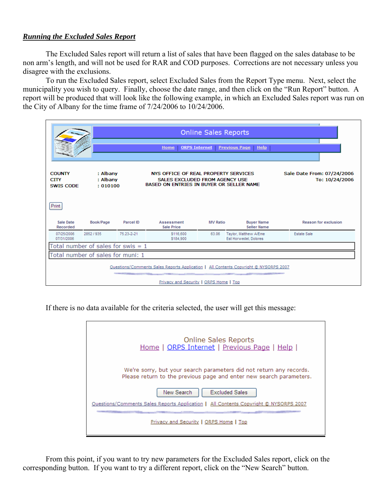### *Running the Excluded Sales Report*

The Excluded Sales report will return a list of sales that have been flagged on the sales database to be non arm's length, and will not be used for RAR and COD purposes. Corrections are not necessary unless you disagree with the exclusions.

To run the Excluded Sales report, select Excluded Sales from the Report Type menu. Next, select the municipality you wish to query. Finally, choose the date range, and then click on the "Run Report" button. A report will be produced that will look like the following example, in which an Excluded Sales report was run on the City of Albany for the time frame of 7/24/2006 to 10/24/2006.

|                                                                                      | <b>Online Sales Reports</b><br><b>ORPS Internet</b><br><b>Previous Page</b><br><b>Help</b><br>Home                                                                                                           |                  |                                 |                 |                                                |                             |
|--------------------------------------------------------------------------------------|--------------------------------------------------------------------------------------------------------------------------------------------------------------------------------------------------------------|------------------|---------------------------------|-----------------|------------------------------------------------|-----------------------------|
| <b>COUNTY</b><br><b>CITY</b><br><b>SWIS CODE</b>                                     | : Albany<br>NYS OFFICE OF REAL PROPERTY SERVICES<br>Sale Date From: 07/24/2006<br>: Albany<br><b>SALES EXCLUDED FROM AGENCY USE</b><br>To: 10/24/2006<br>BASED ON ENTRIES IN BUYER OR SELLER NAME<br>:010100 |                  |                                 |                 |                                                |                             |
| Print                                                                                |                                                                                                                                                                                                              |                  |                                 |                 |                                                |                             |
| Sale Date<br>Recorded                                                                | Book/Page                                                                                                                                                                                                    | <b>Parcel ID</b> | Assessment<br><b>Sale Price</b> | <b>MV Ratio</b> | <b>Buyer Name</b><br><b>Seller Name</b>        | <b>Reason for exclusion</b> |
| 07/25/2006<br>07/31/2006                                                             | 2852 / 935                                                                                                                                                                                                   | 75.23-2-21       | \$116,600<br>\$184,900          | 63.06           | Taylor, Matthew A/Eme<br>Est Horwedel, Dolores | <b>Estate Sale</b>          |
| Total number of sales for swis $= 1$                                                 |                                                                                                                                                                                                              |                  |                                 |                 |                                                |                             |
| Total number of sales for muni: 1                                                    |                                                                                                                                                                                                              |                  |                                 |                 |                                                |                             |
| Questions/Comments Sales Reports Application   All Contents Copyright © NYSORPS 2007 |                                                                                                                                                                                                              |                  |                                 |                 |                                                |                             |
| Privacy and Security   ORPS Home   Top                                               |                                                                                                                                                                                                              |                  |                                 |                 |                                                |                             |

If there is no data available for the criteria selected, the user will get this message:

| <b>Online Sales Reports</b><br>Home   ORPS Internet   Previous Page   Help                                                                 |
|--------------------------------------------------------------------------------------------------------------------------------------------|
| We're sorry, but your search parameters did not return any records.<br>Please return to the previous page and enter new search parameters. |
| New Search<br><b>Excluded Sales</b>                                                                                                        |
| Ouestions/Comments Sales Reports Application   All Contents Copyright © NYSORPS 2007                                                       |
| Privacy and Security   ORPS Home   Top                                                                                                     |

From this point, if you want to try new parameters for the Excluded Sales report, click on the corresponding button. If you want to try a different report, click on the "New Search" button.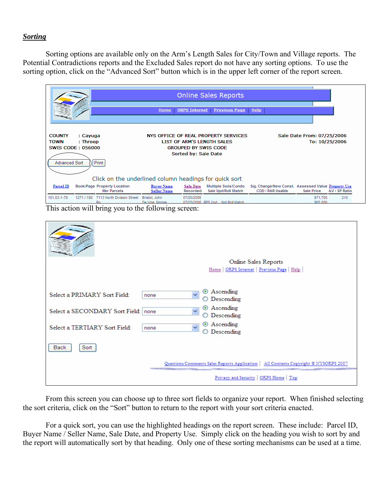#### *Sorting*

Sorting options are available only on the Arm's Length Sales for City/Town and Village reports. The Potential Contradictions reports and the Excluded Sales report do not have any sorting options. To use the sorting option, click on the "Advanced Sort" button which is in the upper left corner of the report screen.



|                                       | Online Sales Reports                                                                 |
|---------------------------------------|--------------------------------------------------------------------------------------|
|                                       | Home   ORPS Internet   Previous Page   Help                                          |
|                                       |                                                                                      |
| Select a PRIMARY Sort Field:<br>none  | ⊙ Ascending<br>$\ddotmark$                                                           |
|                                       | ◯ Descending                                                                         |
| Select a SECONDARY Sort Field: none   | ⊙ Ascending<br>$\checkmark$                                                          |
|                                       | $\bigcirc$ Descending                                                                |
| Select a TERTIARY Sort Field:<br>none | ⊙ Ascending<br>$\ddotmark$                                                           |
|                                       | $\bigcirc$ Descending                                                                |
| Back<br>Sort                          |                                                                                      |
|                                       | Questions/Comments Sales Reports Application   All Contents Copyright © NYSORPS 2007 |
|                                       | Privacy and Security   ORPS Home   Top                                               |

From this screen you can choose up to three sort fields to organize your report. When finished selecting the sort criteria, click on the "Sort" button to return to the report with your sort criteria enacted.

For a quick sort, you can use the highlighted headings on the report screen. These include: Parcel ID, Buyer Name / Seller Name, Sale Date, and Property Use. Simply click on the heading you wish to sort by and the report will automatically sort by that heading. Only one of these sorting mechanisms can be used at a time.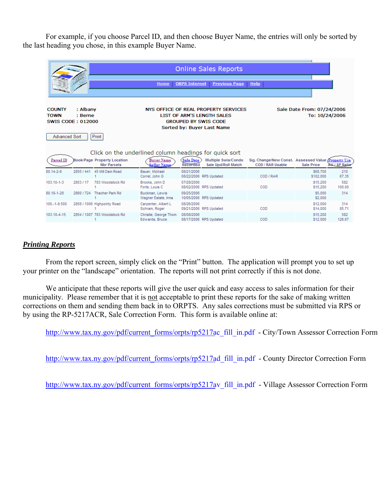For example, if you choose Parcel ID, and then choose Buyer Name, the entries will only be sorted by the last heading you chose, in this example Buyer Name.

|                                                                           |                     |                                                          | <b>Home</b>                                                                                       | <b>ORPS Internet</b>         | <b>Online Sales Reports</b><br><b>Previous Page</b>                                                                                    | <b>Help</b>                                                                     |                                              |                      |
|---------------------------------------------------------------------------|---------------------|----------------------------------------------------------|---------------------------------------------------------------------------------------------------|------------------------------|----------------------------------------------------------------------------------------------------------------------------------------|---------------------------------------------------------------------------------|----------------------------------------------|----------------------|
| <b>COUNTY</b><br><b>TOWN</b><br><b>SWIS CODE: 012000</b><br>Advanced Sort | : Albany<br>: Berne | Print                                                    |                                                                                                   |                              | NYS OFFICE OF REAL PROPERTY SERVICES<br><b>LIST OF ARM'S LENGTH SALES</b><br><b>GROUPED BY SWIS CODE</b><br>Sorted by: Buyer Last Name |                                                                                 | Sale Date From: 07/24/2006<br>To: 10/24/2006 |                      |
| Parcel ID                                                                 |                     | <b>Book/Page Property Location</b><br><b>Nbr Parcels</b> | Click on the underlined column headings for quick sort<br><b>Buyer Name</b><br><b>Seller Name</b> | <b>Sale Date</b><br>Recorded | Multiple Swis/Condo<br>Sale Upd/Roll Match                                                                                             | Sig. Change/New Const. Assessed Value (Property Use)<br><b>COD / RAR Usable</b> | <b>Sale Price</b>                            | <b>AV / SP Ratio</b> |
| 80.14-2-6                                                                 |                     | 2855 / 441 45 Mill Dam Road                              | Bauer, Michael<br>Correl, John G                                                                  | 08/21/2006                   | 08/22/2006 RPS Updated                                                                                                                 | COD / RAR                                                                       | \$68,700<br>\$102,000                        | 210<br>67.35         |
| 103.10-1-3                                                                | 2853 / 17           | 783 Woodstock Rd                                         | Brooks, John D<br>Forte, Louis C                                                                  | 07/28/2006                   | 08/02/2006 RPS Updated                                                                                                                 | COD                                                                             | \$15,200<br>\$15,200                         | 582<br>100.00        |
| 80.18-1-28                                                                | 2860 / 724          | Thacher Park Rd                                          | Buckman, Lewis<br>Wagner Estate, Irma                                                             | 09/25/2006                   | 10/05/2006 RPS Updated                                                                                                                 |                                                                                 | \$5,000<br>\$2,000                           | 314                  |
| 100.-1-9.500                                                              |                     | 2858 / 1006 Highpointy Road                              | Carpenter, Albert L<br>Schram, Roger                                                              | 08/26/2006                   | 09/21/2006 RPS Updated                                                                                                                 | COD                                                                             | \$12,000<br>\$14,000                         | 314<br>85.71         |
| 103.10-4-15                                                               |                     | 2854 / 1007 783 Woodstock Rd                             | Christie, George Thom<br>Edwards, Bruce                                                           | 08/08/2006                   | 08/17/2006 RPS Updated                                                                                                                 | COD                                                                             | \$15,200<br>\$12,000                         | 582<br>126.67        |

#### *Printing Reports*

From the report screen, simply click on the "Print" button. The application will prompt you to set up your printer on the "landscape" orientation. The reports will not print correctly if this is not done.

We anticipate that these reports will give the user quick and easy access to sales information for their municipality. Please remember that it is not acceptable to print these reports for the sake of making written corrections on them and sending them back in to ORPTS. Any sales corrections must be submitted via RPS or by using the RP-5217ACR, Sale Correction Form. This form is available online at:

http://www.[tax.ny.gov/pdf/current\\_forms](http://www.tax.ny.gov/pdf/current_forms/orpts/rp5217ac_fill_in.pdf)/orpts/rp5217ac\_fill\_in.pdf - City/Town Assessor Correction Form

http://www.[tax.ny.gov/pdf/current\\_forms/orpts/](http://www.tax.ny.gov/pdf/current_forms/orpts/rp5217ad_fill_in.pdf)rp5217ad\_fill\_in.pdf - County Director Correction Form

http://www.[tax.ny.gov/pdf/current\\_forms/orpts/](http://www.tax.ny.gov/pdf/current_forms/orpts/rp5217av_fill_in.pdf)rp5217av\_fill\_in.pdf - Village Assessor Correction Form